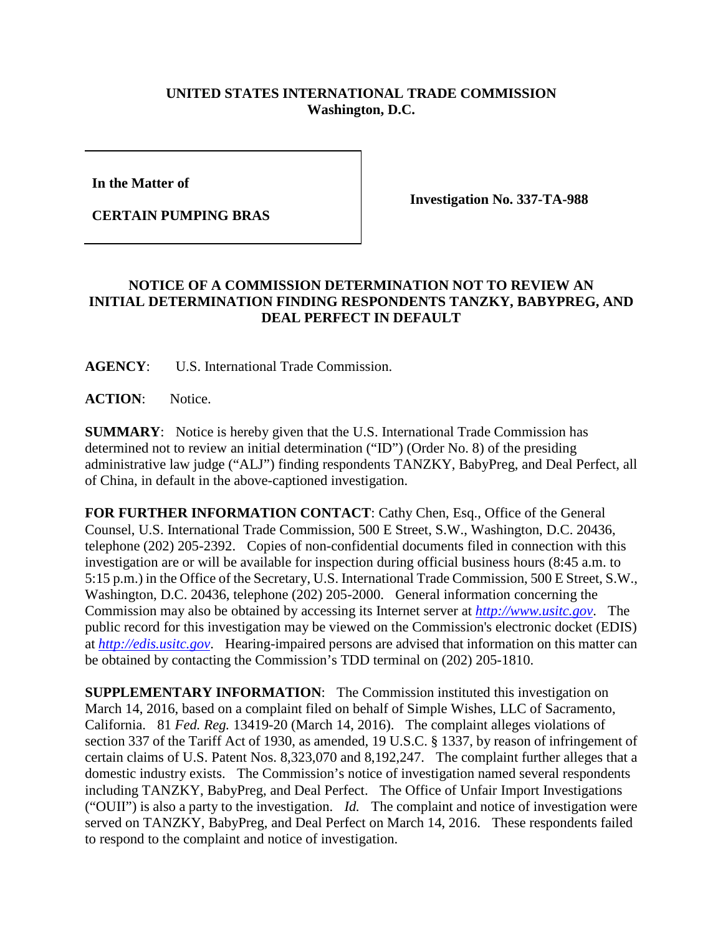## **UNITED STATES INTERNATIONAL TRADE COMMISSION Washington, D.C.**

**In the Matter of** 

**CERTAIN PUMPING BRAS**

**Investigation No. 337-TA-988**

## **NOTICE OF A COMMISSION DETERMINATION NOT TO REVIEW AN INITIAL DETERMINATION FINDING RESPONDENTS TANZKY, BABYPREG, AND DEAL PERFECT IN DEFAULT**

**AGENCY**: U.S. International Trade Commission.

**ACTION**: Notice.

**SUMMARY**: Notice is hereby given that the U.S. International Trade Commission has determined not to review an initial determination ("ID") (Order No. 8) of the presiding administrative law judge ("ALJ") finding respondents TANZKY, BabyPreg, and Deal Perfect, all of China, in default in the above-captioned investigation.

FOR FURTHER INFORMATION CONTACT: Cathy Chen, Esq., Office of the General Counsel, U.S. International Trade Commission, 500 E Street, S.W., Washington, D.C. 20436, telephone (202) 205-2392. Copies of non-confidential documents filed in connection with this investigation are or will be available for inspection during official business hours (8:45 a.m. to 5:15 p.m.) in the Office of the Secretary, U.S. International Trade Commission, 500 E Street, S.W., Washington, D.C. 20436, telephone (202) 205-2000. General information concerning the Commission may also be obtained by accessing its Internet server at *[http://www.usitc.gov](http://www.usitc.gov/)*. The public record for this investigation may be viewed on the Commission's electronic docket (EDIS) at *[http://edis.usitc.gov](http://edis.usitc.gov/)*. Hearing-impaired persons are advised that information on this matter can be obtained by contacting the Commission's TDD terminal on (202) 205-1810.

**SUPPLEMENTARY INFORMATION:** The Commission instituted this investigation on March 14, 2016, based on a complaint filed on behalf of Simple Wishes, LLC of Sacramento, California. 81 *Fed. Reg.* 13419-20 (March 14, 2016). The complaint alleges violations of section 337 of the Tariff Act of 1930, as amended, 19 U.S.C. § 1337, by reason of infringement of certain claims of U.S. Patent Nos. 8,323,070 and 8,192,247. The complaint further alleges that a domestic industry exists. The Commission's notice of investigation named several respondents including TANZKY, BabyPreg, and Deal Perfect. The Office of Unfair Import Investigations ("OUII") is also a party to the investigation. *Id.* The complaint and notice of investigation were served on TANZKY, BabyPreg, and Deal Perfect on March 14, 2016. These respondents failed to respond to the complaint and notice of investigation.